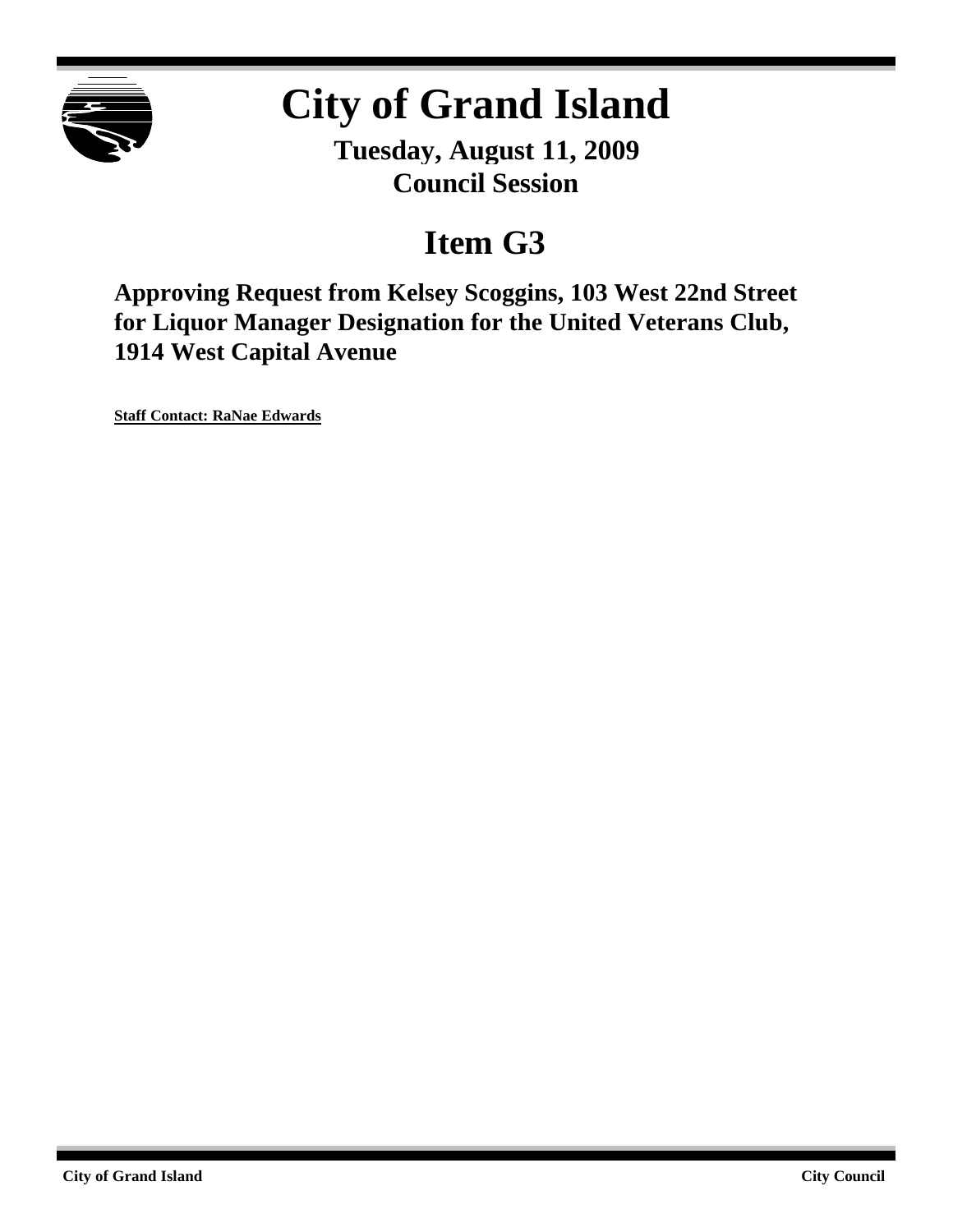

# **City of Grand Island**

**Tuesday, August 11, 2009 Council Session**

## **Item G3**

**Approving Request from Kelsey Scoggins, 103 West 22nd Street for Liquor Manager Designation for the United Veterans Club, 1914 West Capital Avenue**

**Staff Contact: RaNae Edwards**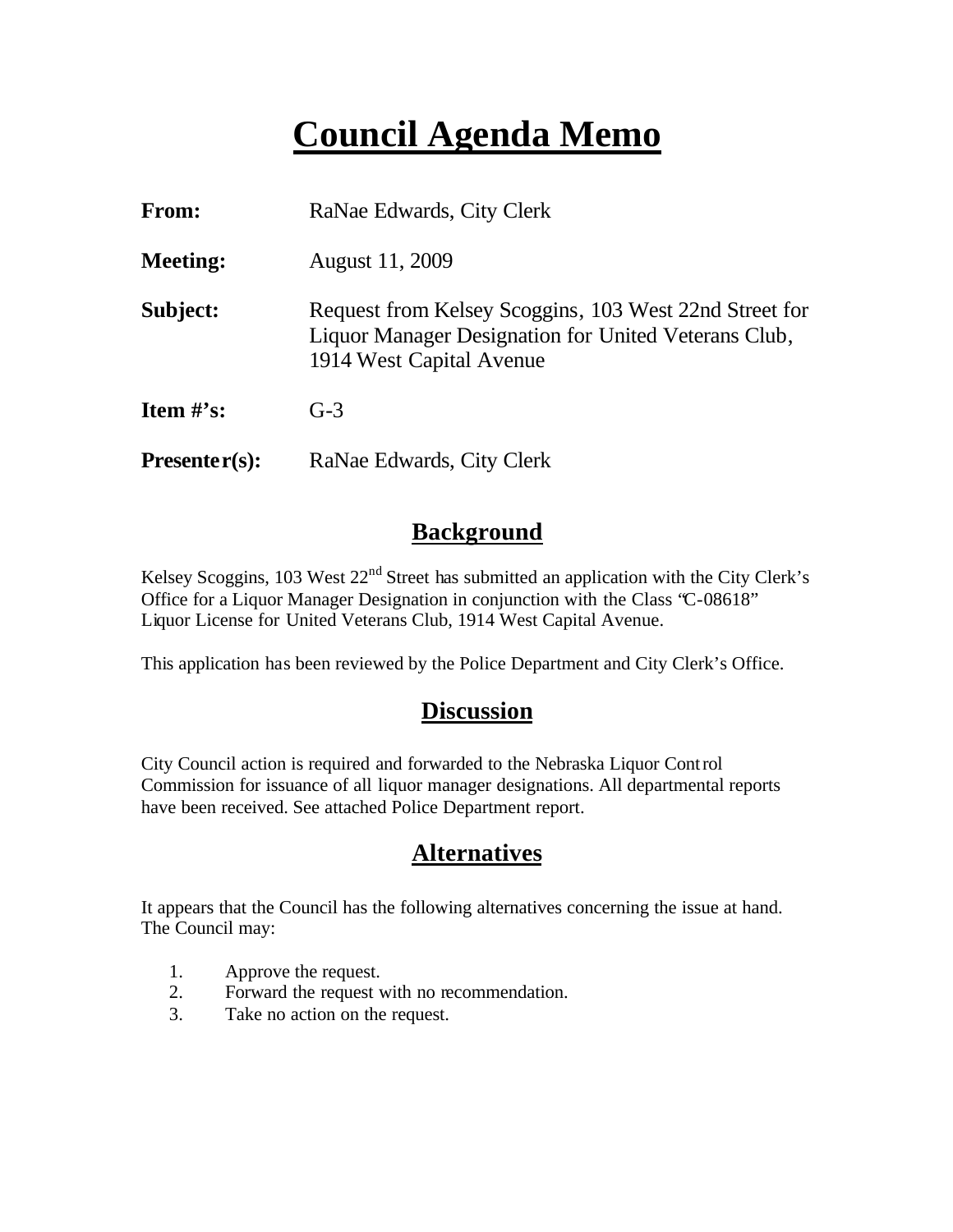## **Council Agenda Memo**

| From:           | RaNae Edwards, City Clerk                                                                                                                  |  |  |
|-----------------|--------------------------------------------------------------------------------------------------------------------------------------------|--|--|
| <b>Meeting:</b> | August 11, 2009                                                                                                                            |  |  |
| Subject:        | Request from Kelsey Scoggins, 103 West 22nd Street for<br>Liquor Manager Designation for United Veterans Club,<br>1914 West Capital Avenue |  |  |
| Item $\#$ 's:   | $G-3$                                                                                                                                      |  |  |
| $Presenter(s):$ | RaNae Edwards, City Clerk                                                                                                                  |  |  |

### **Background**

Kelsey Scoggins, 103 West  $22<sup>nd</sup>$  Street has submitted an application with the City Clerk's Office for a Liquor Manager Designation in conjunction with the Class "C-08618" Liquor License for United Veterans Club, 1914 West Capital Avenue.

This application has been reviewed by the Police Department and City Clerk's Office.

### **Discussion**

City Council action is required and forwarded to the Nebraska Liquor Control Commission for issuance of all liquor manager designations. All departmental reports have been received. See attached Police Department report.

## **Alternatives**

It appears that the Council has the following alternatives concerning the issue at hand. The Council may:

- 1. Approve the request.
- 2. Forward the request with no recommendation.
- 3. Take no action on the request.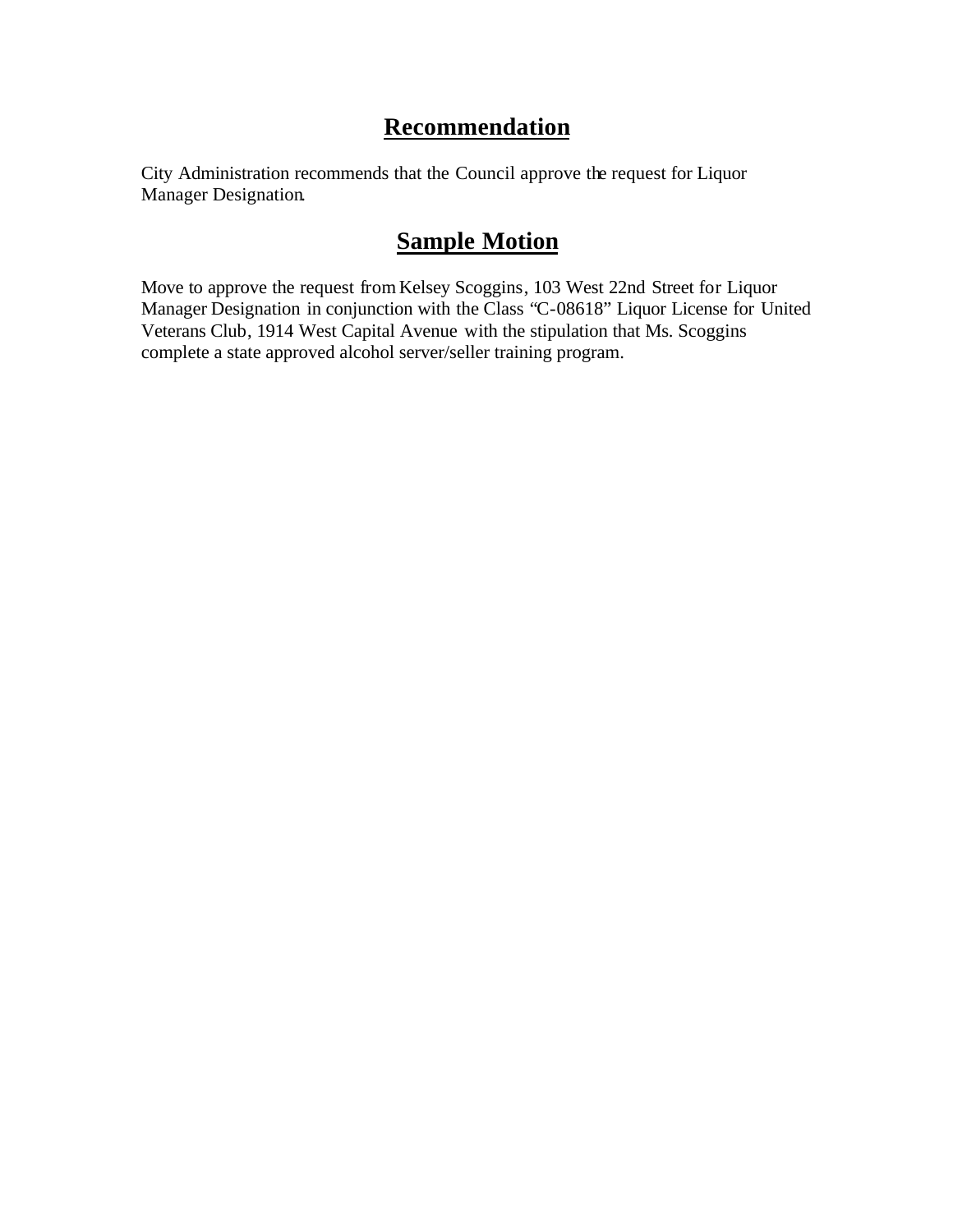## **Recommendation**

City Administration recommends that the Council approve the request for Liquor Manager Designation.

## **Sample Motion**

Move to approve the request fromKelsey Scoggins, 103 West 22nd Street for Liquor Manager Designation in conjunction with the Class "C-08618" Liquor License for United Veterans Club, 1914 West Capital Avenue with the stipulation that Ms. Scoggins complete a state approved alcohol server/seller training program.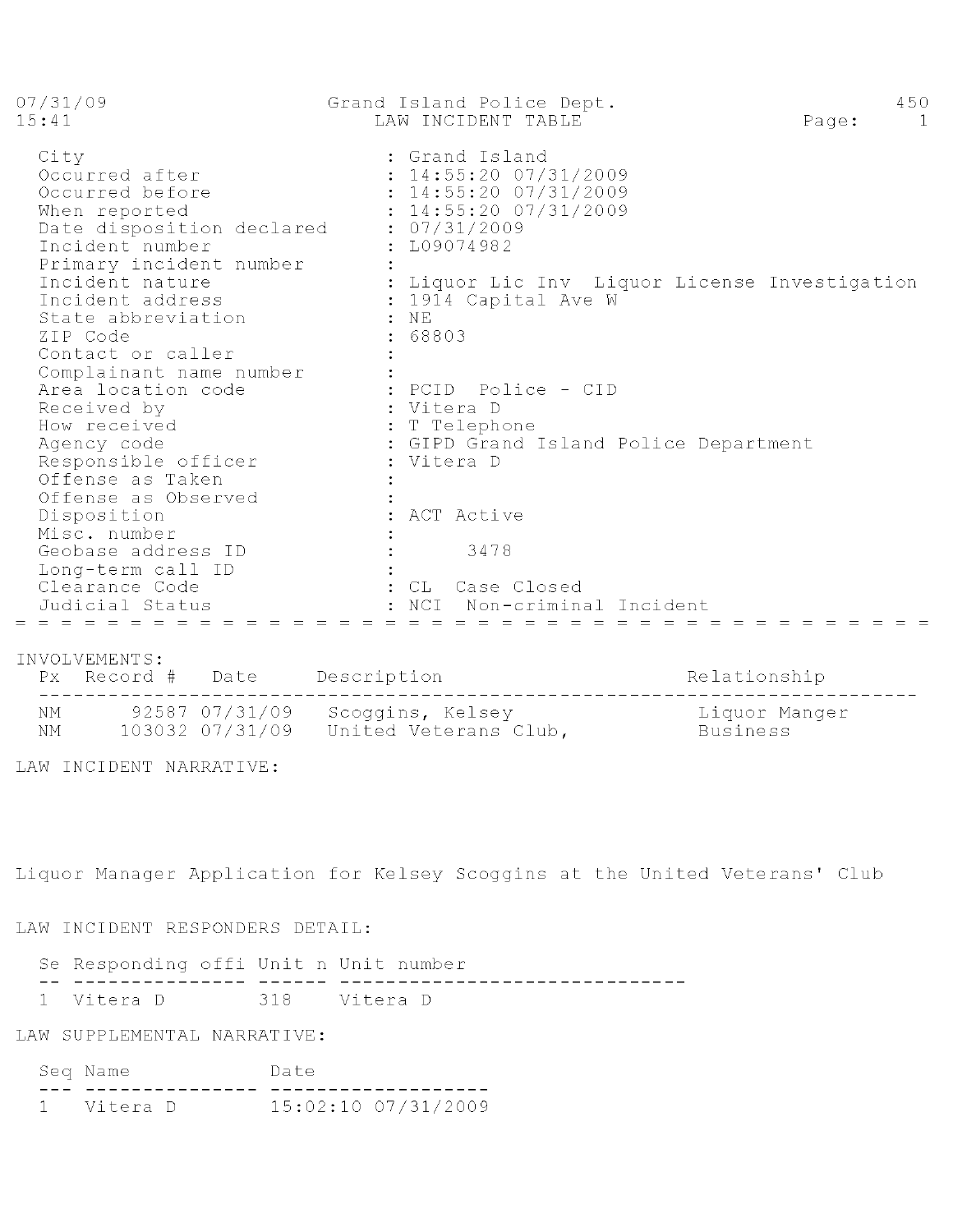| 07/31/09<br>15:41                                                                                                                                                                                                                                | Grand Island Police Dept.<br>LAW INCIDENT TABLE                                                                                                                                                        | 450<br>Page:<br>$\overline{1}$ |
|--------------------------------------------------------------------------------------------------------------------------------------------------------------------------------------------------------------------------------------------------|--------------------------------------------------------------------------------------------------------------------------------------------------------------------------------------------------------|--------------------------------|
| City<br>Occurred after<br>Occurred before<br>When reported<br>Date disposition declared : 07/31/2009<br>Incident number<br>Primary incident number<br>Incident nature<br>Incident address<br>State abbreviation<br>ZIP Code<br>Contact or caller | : Grand Island<br>: 14:55:20 07/31/2009<br>: 14:55:20 07/31/2009<br>: 14:55:20 07/31/2009<br>: L09074982<br>: Liquor Lic Inv Liquor License Investigation<br>: 1914 Capital Ave W<br>$:$ NE<br>: 68803 |                                |
| Complainant name number<br>Area location code<br>Received by<br>How received<br>Agency code<br>Responsible officer<br>Offense as Taken<br>Offense as Observed<br>Disposition                                                                     | : PCID  Police - CID<br>: Vitera D<br>: T Telephone<br>: GIPD Grand Island Police Department<br>: Vitera D<br>: ACT Active                                                                             |                                |
| Misc. number<br>Geobase address ID<br>Long-term call ID<br>Clearance Code<br>Judicial Status<br>= = = = = = = = = = = = =                                                                                                                        | 3478<br>: CL Case Closed<br>NCI<br>Non-criminal Incident<br>$\equiv$ $\equiv$ $\equiv$ $\equiv$ $\equiv$ $\equiv$                                                                                      |                                |

#### INVOLVEMENTS:

NM 92587 07/31/09 Scoggins, Kelsey Liquor Manger<br>NM 103032 07/31/09 United Veterans Club, Business

LAW INCIDENT NARRATIVE:

Liquor Manager Application for Kelsey Scoggins at the United Veterans' Club

#### LAW INCIDENT RESPONDERS DETAIL:

Se Responding offi Unit n Unit number 1 Vitera D 318 Vitera D

#### LAW SUPPLEMENTAL NARRATIVE:

|  | Seq Name   |  | Date |                     |  |
|--|------------|--|------|---------------------|--|
|  |            |  |      |                     |  |
|  | 1 Vitera D |  |      | 15:02:10 07/31/2009 |  |